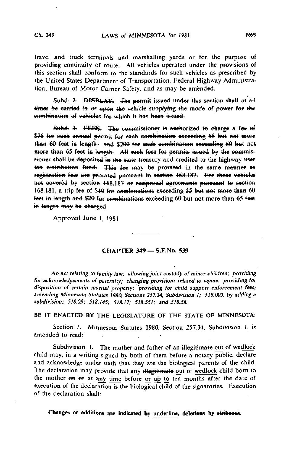travel and truck terminals and marshalling yards or for the purpose of providing continuity of route. All vehicles -operated under the provisions of this section shall conform to the standards for such vehicles as prescribed by the United States Department of Transportation, Federal Highway Administration, Bureau of Motor Carrier Safety, and as may be amended.

2. DISPLAY. The permit issued under this section shall at all times be carried in or upon the vehicle supplying the mode of power for the combination of vehicles for which it has been issued.

Subd. 3. FEES. The commissioner is authorized to charge a fee of \$75 for such annual permit for each combination exceeding 55 but not more than 60 feet in length; and \$200 for each combination exceeding 60 but not than 65 feet in length. All such fees for permits issued by the commissioner shall be deposited in the state treasury and credited to the highway user tax distribution fund. This fee may be prorated in the same manner as registration fees are prorated pursuant to section 168.187. For those vehicles not covered by section 168.187 or reciprocal agreements pursuant to section 168.181, a trip fee of \$10 for combinations exceeding 55 but not more than 60 feet in length and \$20 for combinations exceeding 60 but not more than 65 feet in length may be charged.

Approved June 1, 1981

### CHAPTER 349 — S.F.No. 539

An act relating to family law; allowing joint custody of minor children; providing for acknowledgements of paternity; changing provisions related to venue; providing for disposition of certain marital property; 'providing for child support enforcement fees; amending Minnesota Statutes 1980, Sections 257.34, Subdivision I; 518.003. by adding a subdivision; 518.09; 518.145; 518.17; 518.551; and 518.58.

BE IT ENACTED BY THE LEGISLATURE OF THE STATE OF MINNESOTA:

Section 1. Minnesota Statutes 1980, Section 257.34, Subdivision 1, is amended to read:

Subdivision 1. The mother and father of an illegitimate out of wedlock child may, in a writing signed by both of them before a notary public, declare and acknowledge under oath that they are the biological parents of the child. The declaration may provide that any illegitimate out of wedlock child born to the mother on or at any time before or up to ten months after the date of execution of the declaration is the biological child of the signatories. Execution of the declaration shall: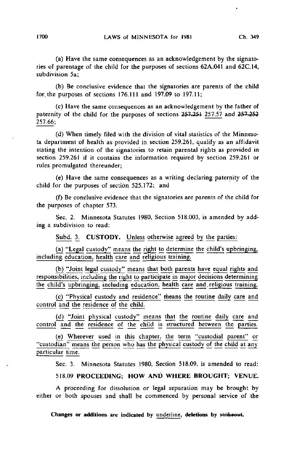(a) Have the same consequences as an acknowledgement by the signatories of parentage of the child for the purposes of sections 62A.041 and 62C.14, subdivision 5a;

(b) Be conclusive evidence that the signatories are parents of the child for. the purposes of sections 176.111 and 197.09 to 197.11;

(c) Have the same consequences as an acknowledgement by the father of paternity of the child for the purposes of sections 257.251 257.57 and 257.252 257.66;

(d) When timely filed with the division of vital statistics of the Minnesota department of health as provided in section 259.261, qualify as an affidavit stating the intention of the signatories to retain parental rights as provided in section 259.261 if it contains the information required by section 259.261 or rules promulgated thereunder;

(e) Have the same consequences as a writing declaring paternity of the child for the purposes of section 525.172; and

(f) Be conclusive evidence that the signatories are parents of the child for the purposes of chapter 573.

Sec. 2. Minnesota Statutes 1980, Section 518.003, is amended by adding a subdivision to read:

Subd. 3. CUSTODY. Unless otherwise agreed by the parties:

(a) "Legal custody" means the right to determine the child's upbringing, including education, health care and religious training.

(b) "Joint legal custody" means that both parents have equal rights and responsibilities, including the right to participate in major decisions determining the child's upbringing, including education, health care and. religious training.

(c) "Physical custody and residence" means the routine daily care and control and the residence of the child.

(d) "Joint physical custody" means that the routine daily care and control and the residence of the child is structured between the parties.

(e) Wherever used in this chapter, the term "custodial parent" or "custodian" means the person who has the physical custody of the child at any particular time.

Sec. 3. Minnesota Statutes 1980, Section 518.09, is amended to read:

### 518.09 PROCEEDING; HOW AND WHERE BROUGHT; VENUE.

A proceeding for dissolution or legal separation may be brought by either or both spouses and shall be commenced by personal service of the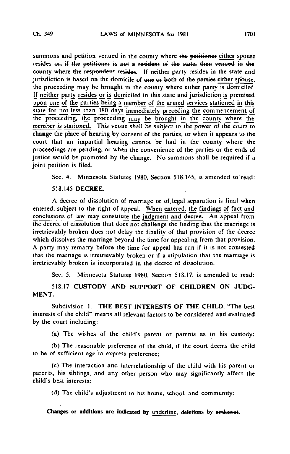summons and petition venued in the county where the petitioner either spouse resides  $er$ , if the petitioner is not a resident of the state; then venued in the county where the respondent resides. If neither party resides in the state and jurisdiction is based on the domicile of one or both of the parties either spouse. the proceeding may be brought in the county where either party is domiciled. If neither party resides or is domiciled in this state and jurisdiction is premised upon one of the parties being a member of the armed services stationed in this state for not less than 180 days immediately preceding the commencement of the proceeding, the proceeding may be brought in the county where the member is stationed. This venue shall be subject to the power of the court to change the place of hearing by consent of the parties, or when it appears to the court that an impartial hearing cannot be had in the county where the proceedings are pending, or when the convenience of the parties or the ends of justice would be promoted by the change. No summons shall be required if a joint petition is filed.

Sec. 4. Minnesota Statutes 1980, Section 518.145, is amended to read:

518.145 DECREE.

A decree of dissolution of marriage or of. legal separation is final when entered, subject to the right of appeal. When entered, the findings of fact and conclusions of law may constitute the judgment and decree. An appeal from the decree of dissolution that does not challenge the finding that the marriage is irretrievably broken does not delay the finality of that provision of the decree which dissolves the marriage beyond the time for appealing from that provision. A party may remarry before the time for appeal has run if it is not contested that the marriage is irretrievably broken or if a stipulation that the marriage is irretrievably broken is incorporated in the decree of dissolution.

Sec. 5. Minnesota Statutes 1980, Section 518.17, is amended to read:

518.17 CUSTODY AND SUPPORT OF CHILDREN ON JUDG-MENT.

Subdivision I. THE BEST INTERESTS OF THE CHILD. "The best interests of the child" means all relevant factors to be considered and evaluated by the court including:

(a) The wishes of the child's parent or parents as to his custody;

(b) The reasonable preference of the child, if the court deems the child to be of sufficient age to express preference;

(c) The interaction and interrelationship of the child with his parent or parents, his siblings, and any other person who may significantly affect the child's best interests;

(d) The child's adjustment to his home, school, and community;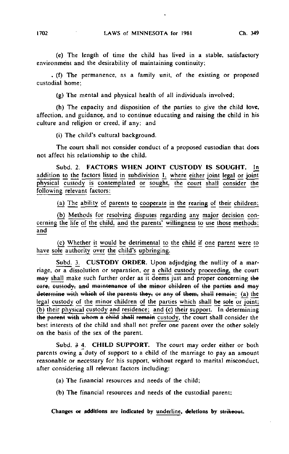(e) The length of time the child has lived in a stable, satisfactory environment and the desirability of maintaining continuity;

. (f) The permanence, as a family unit, of the existing or proposed custodial home;

(g) The mental and physical health of all individuals involved;

(h) The capacity and disposition of the parties to give the child love, affection, and guidance, and to continue educating and raising the child in his culture and religion or creed, if any; and

(i) The child's cultural background.

The court shall not consider conduct of a proposed custodian that does not affect his relationship to the child.

Subd. 2. FACTORS WHEN JOINT CUSTODY IS SOUGHT. In addition to the factors listed in subdivision 1, where either joint legal or joint physical custody is contemplated or sought, the court shall consider the following relevant factors:

(a) The ability of parents to cooperate in the rearing of their children;

(b) Methods for resolving disputes regarding any major decision concerning the life of the child, and the parents' willingness to use those methods; and

(c) Whether it would be detrimental to the child if one parent were to have sole authority over the child's upbringing.

Subd. 3. CUSTODY ORDER. Upon adjudging the nullity of a marriage, or a dissolution or separation, or a child custody proceeding, the court may shall make such further order as it deems just and proper concerning the care, custody, and maintenance of the minor children of the parties and may determine with which of the parents they, or any of them, shall remain: (a) the legal custody of the minor children of the parties which shall be sole or joint; (b) their physical custody and residence; and (c) their support. In determining the parent with whom a child shall remain custody, the court shall consider the best interests of the child and shall not prefer one parent over the other solely on the basis of the sex of the parent.

Subd. 3 4. CHILD SUPPORT. The court may order either or both parents owing a duty of support to a child of the marriage to pay an amount reasonable or necessary for his support, without regard to marital misconduct, after considering all relevant factors including:

(a) The financial resources and needs of the child;

(b) The financial resources and needs of the custodial parent;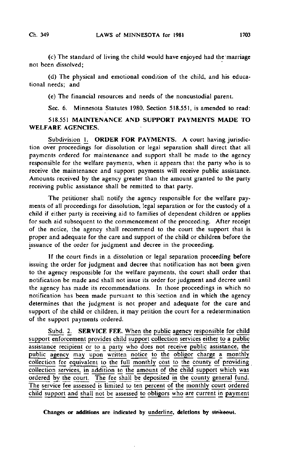(c) The standard of living the child would have enjoyed had the'marriage not been dissolved;

(d) The physical and emotional condition of the child, and his educational needs; and

(e) The financial resources and needs of the noncustodial parent.

Sec. 6. Minnesota Statutes 1980, Section 518.551, is amended to read:

## 518.551 MAINTENANCE AND SUPPORT PAYMENTS MADE TO WELFARE AGENCIES.

Subdivision 1. ORDER FOR PAYMENTS. A court having jurisdiction over proceedings for dissolution or legal separation shall direct that all payments ordered for maintenance and support shall be made to the agency responsible for the welfare payments, when it appears that the party who is to receive the maintenance and support payments will receive public assistance. Amounts received by the agency greater than the amount granted to the party receiving public assistance shall be remitted to that party.

The petitioner shall notify the agency responsible for the welfare payments of all proceedings for dissolution, legal separation or for the custody of a child if either party is receiving aid to families of dependent children or applies for such aid subsequent to the commencement of the proceeding. After receipt of the notice, the agency shall recommend to the court the support that is proper and adequate for the care and support of the child or children before the issuance of the order for judgment and decree in the proceeding.

If the court finds in a dissolution or legal separation proceeding before issuing the order for judgment and decree that notification has not been given to the agency responsible for the welfare payments, the court shall order that notification be made and shall not issue its order for judgment and decree until the agency has made its recommendations. In those proceedings in which no notification has been made pursuant to this "section and in which the agency determines that the judgment is not proper and adequate for the care and support of the child or children, it may petition the court for a redetermination of the support payments ordered.

Subd. 2. SERVICE FEE, When the public agency responsible for child support enforcement provides child support collection services either to a public assistance recipient or to a party who does not receive public assistance, the public agency may upon written notice to the obligor charge a monthly collection fee equivalent to the full monthly cost to the county of providing collection services, in addition to the amount of the child support which was ordered by the court. The fee shall be deposited in the county general fund. The service fee assessed is limited to ten percent of the monthly court ordered child support and shall not be assessed to obligors who are current in payment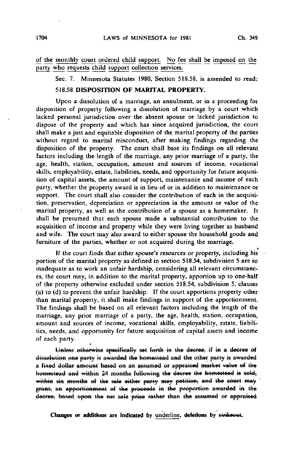of the monthly court ordered child support. No fee shall be imposed on the party who requests child support collection services.

Sec. 7. Minnesota Statutes 1980, Section 518.58, is amended to read:

# 518.58 DISPOSITION OF MARITAL PROPERTY.

Upon a dissolution of a marriage, an annulment, or in a proceeding for disposition of property following a dissolution of marriage by a court which lacked personal jurisdiction over the absent spouse or lacked jurisdiction to dispose of the property and which has since acquired jurisdiction, the court shall make a just and equitable disposition of the marital property of the parties without regard to marital misconduct, after making findings regarding the disposition of the property. The court shall base its findings on all relevant factors including the length of the marriage, any prior marriage of a party, the age, health, station, occupation, amount and sources of income, vocational skills, employability, estate, liabilities, needs, and opportunity for future acquisition of capital assets, the amount of support, maintenance and income of each party, whether the property award is in lieu of or in addition to maintenance or support. The court shall also consider the contribution of each in the acquisition, preservation, depreciation or appreciation in the amount or value of the marital property, as well as the contribution of a spouse as a homemaker. It shall be presumed that each spouse made a substantial contribution to the acquisition of income and property while they were living together as husband and wife. The court may also award to either spouse the household goods and furniture of the parties, whether or not acquired during the marriage.

If the court finds that either spouse's resources or property, including his portion of the marital property as defined in section 518.54, subdivision 5 are so inadequate as to work an unfair hardship, considering all relevant circumstances, the court may, in addition to the marital property, apportion up to one-half of the property otherwise excluded under section 518.54, subdivision 5, clauses (a) to (d) to prevent the unfair hardship. If the court apportions property other than marital property, it shall make findings in support of the apportionment. The findings shall be based on all relevant factors including the length of the marriage, any prior marriage of a party, the age, health, station, occupation, amount and sources of income, vocational skills, employability, estate, liabilities, needs, and opportunity for future acquisition of capital assets and income of each party.

Unless otherwise specifically set forth in the decree, if in a decree of dissolution one party is awarded the homestead and the other party is awarded a fixed dollar amount based on an assumed or appraised market value of the homestead and within 24 months following the decree the homestead is sold, within six months of the sale either party may petition, and the court may grant, an apportionment of the proceeds in the proportion awarded in the decree, based upon the net sale price rather than the assumed or appraised